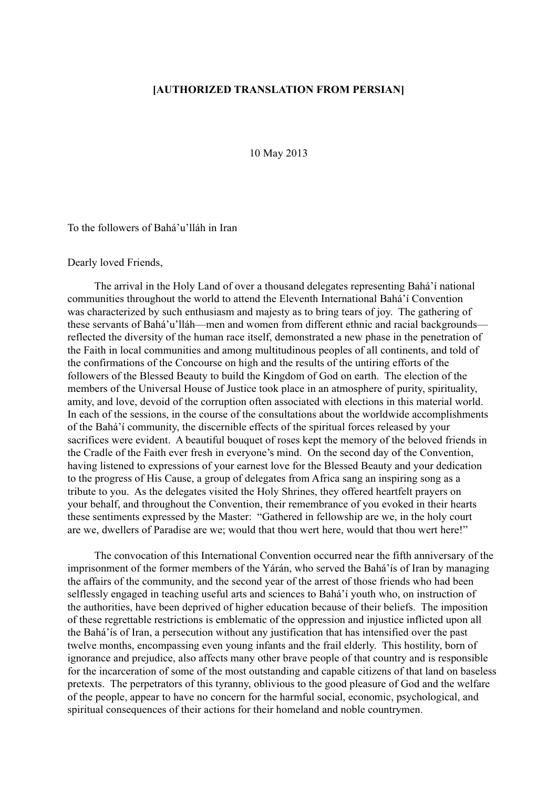## [AUTHORIZED TRANSLATION FROM PERSIAN]

10 May 2013

To the followers of Bahá'u'lláh in Iran

## Dearly loved Friends,

The arrival in the Holy Land of over a thousand delegates representing Bahá'í national communities throughout the world to attend the Eleventh International Bahá'í Convention was characterized by such enthusiasm and majesty as to bring tears of joy. The gathering of these servants of Bahá'u'lláh—men and women from different ethnic and racial backgrounds reflected the diversity of the human race itself, demonstrated a new phase in the penetration of the Faith in local communities and among multitudinous peoples of all continents, and told of the confirmations of the Concourse on high and the results of the untiring efforts of the followers of the Blessed Beauty to build the Kingdom of God on earth. The election of the members of the Universal House of Justice took place in an atmosphere of purity, spirituality, amity, and love, devoid of the corruption often associated with elections in this material world. In each of the sessions, in the course of the consultations about the worldwide accomplishments of the Bahá'í community, the discernible effects of the spiritual forces released by your sacrifices were evident. A beautiful bouquet of roses kept the memory of the beloved friends in the Cradle of the Faith ever fresh in everyone's mind. On the second day of the Convention, having listened to expressions of your earnest love for the Blessed Beauty and your dedication to the progress of His Cause, a group of delegates from Africa sang an inspiring song as a tribute to you. As the delegates visited the Holy Shrines, they offered heartfelt prayers on your behalf, and throughout the Convention, their remembrance of you evoked in their hearts these sentiments expressed by the Master: "Gathered in fellowship are we, in the holy court are we, dwellers of Paradise are we; would that thou wert here, would that thou wert here!"

The convocation of this International Convention occurred near the fifth anniversary of the imprisonment of the former members of the Yárán, who served the Bahá'ís of Iran by managing the affairs of the community, and the second year of the arrest of those friends who had been selflessly engaged in teaching useful arts and sciences to Bahá'í youth who, on instruction of the authorities, have been deprived of higher education because of their beliefs. The imposition of these regrettable restrictions is emblematic of the oppression and injustice inflicted upon all the Bahá'ís of Iran, a persecution without any justification that has intensified over the past twelve months, encompassing even young infants and the frail elderly. This hostility, born of ignorance and prejudice, also affects many other brave people of that country and is responsible for the incarceration of some of the most outstanding and capable citizens of that land on baseless pretexts. The perpetrators of this tyranny, oblivious to the good pleasure of God and the welfare of the people, appear to have no concern for the harmful social, economic, psychological, and spiritual consequences of their actions for their homeland and noble countrymen.